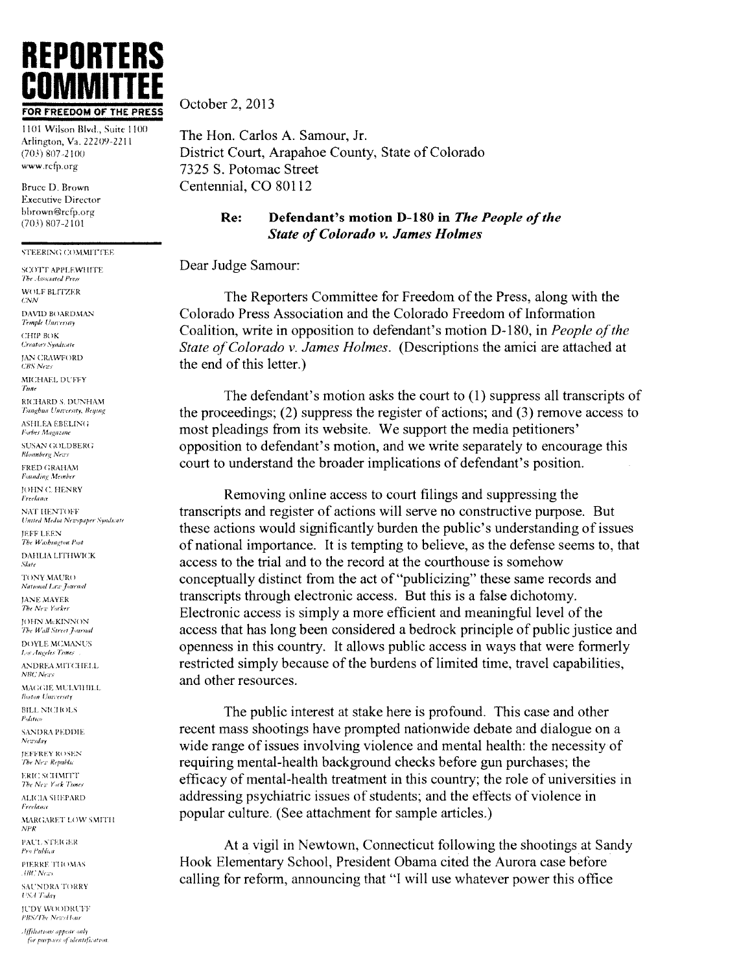

1101 Wilson Blvd., Suite 1100 Arlington, Va. 22209-2211  $(703) 807 - 2100$ www.rcfp.org

Bruce D. Brown **Executive Director** bbrown@rcfp.org  $(703) 807 - 2101$ 

#### STEERING COMMITTEE

SCOTT APPLEWHITE The Associated Press WOLF BLITZER  $CNN$ DAVID BOARDMAN Temple University СНІР ВОК **Creators Syndicate JAN CRAWFORD CBS** News MICHAEL DUFFY RICHARD S, DUNHAM Tsingbun University, Beying **ASHLEA EBELING** Forbes Magazine SUSAN COUDBERG **Bluomberg News** FRED GRAHAM **Founding Member IOHN C. HENRY** Freelance NAT HENTOFF United Media Newspaper Syndicate JEFF LEEN The Washington Post DAHLIA LITHWICK Slate TONY MAURO National Lita Journal JANE MAYER The New Yorker JOHN McKINNON The Wall Street Journal **DOYLE MCMANUS** Los Angeles Times ANDREA MITCHELL **NBC** News MAGGIE MULVIHILL **Boston University BILL NICHOLS** Palitico **SANDRA PEDDIE** Newsday **JEFFREY ROSEN** The New Republic **ERIC SCHMITT** The New York Times ALICIA SHEPARD Freelance MARGARET LOW SMITH PAUL STEKEER Pro Publica PIERRE THOMAS .HRC News **SAUNDRA TORRY** USA Today **JUDY WOODRUFF** 

October 2, 2013

The Hon. Carlos A. Samour, Jr. District Court, Arapahoe County, State of Colorado 7325 S. Potomac Street Centennial, CO 80112

#### Defendant's motion D-180 in The People of the Re: **State of Colorado v. James Holmes**

# Dear Judge Samour:

The Reporters Committee for Freedom of the Press, along with the Colorado Press Association and the Colorado Freedom of Information Coalition, write in opposition to defendant's motion D-180, in People of the State of Colorado v. James Holmes. (Descriptions the amici are attached at the end of this letter.)

The defendant's motion asks the court to  $(1)$  suppress all transcripts of the proceedings;  $(2)$  suppress the register of actions; and  $(3)$  remove access to most pleadings from its website. We support the media petitioners' opposition to defendant's motion, and we write separately to encourage this court to understand the broader implications of defendant's position.

Removing online access to court filings and suppressing the transcripts and register of actions will serve no constructive purpose. But these actions would significantly burden the public's understanding of issues of national importance. It is tempting to believe, as the defense seems to, that access to the trial and to the record at the courthouse is somehow conceptually distinct from the act of "publicizing" these same records and transcripts through electronic access. But this is a false dichotomy. Electronic access is simply a more efficient and meaningful level of the access that has long been considered a bedrock principle of public justice and openness in this country. It allows public access in ways that were formerly restricted simply because of the burdens of limited time, travel capabilities, and other resources.

The public interest at stake here is profound. This case and other recent mass shootings have prompted nationwide debate and dialogue on a wide range of issues involving violence and mental health: the necessity of requiring mental-health background checks before gun purchases; the efficacy of mental-health treatment in this country; the role of universities in addressing psychiatric issues of students; and the effects of violence in popular culture. (See attachment for sample articles.)

At a vigil in Newtown, Connecticut following the shootings at Sandy Hook Elementary School, President Obama cited the Aurora case before calling for reform, announcing that "I will use whatever power this office

Affiliations appear only for purposes of identification.

PBS/The NewsHour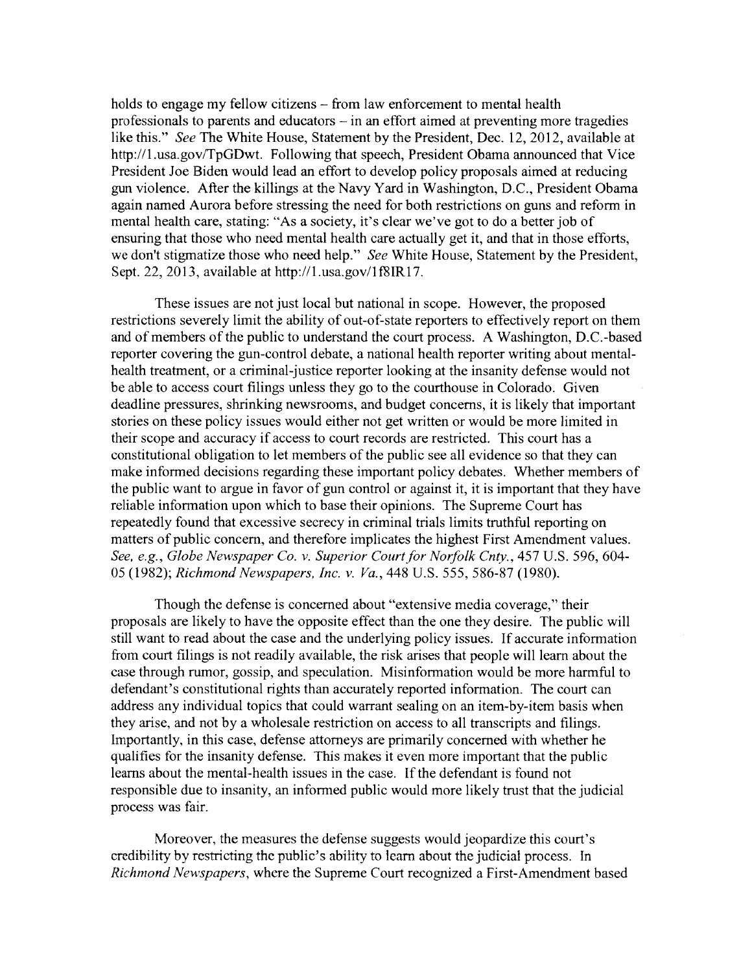holds to engage my fellow citizens – from law enforcement to mental health professionals to parents and educators  $-\text{in}$  an effort aimed at preventing more tragedies like this." See The White House, Statement by the President, Dec. 12, 2012, available at http://1.usa.gov/TpGDwt. Following that speech, President Obama announced that Vice President Joe Biden would lead an effort to develop policy proposals aimed at reducing gun violence. After the killings at the Nay Yard in Washington, D.C., President Obama again named Aurora before stressing the need for both restrictions on guns and reform in mental health care, stating: "As a society. it's clear we've got to do a better job of ensuring that those who need mental health care actually get it, and that in those efforts, we don't stigmatize those who need help." See White House, Statement by the President, Sept. 22, 2013, available at  $h$ ttp://1.usa.gov/1f8IR17.

These issues are not just local but national in scope. However, the proposed restrictions severely limit the ability of out-of-state reporters to effectively report on them and of members of the public to understand the court process. A Washington, D.C.-based reporter covering the gun-control debate, a national health reporter writing about mentalhealth treatment, or a criminal-justice reporter looking at the insanity defense would not be able to access court filings unless they go to the courthouse in Colorado. Given deadline pressures, shrinking newsrooms, and budget concerns, it is likely that important stories on these policy issues would either not get written or would be more limited in their scope and accuracy if access to court records are restricted. This court has a constitutional obligation to let members of the public see all evidence so that they can make informed decisions regarding these important policy debates. Whether members of the public want to argue in favor of gun control or against it, it is important that they have reliable information upon which to base their opinions. The Supreme Court has repeatedly found that excessive secrecy in criminal trials limits truthful reporting on matters of public concern, and therefore implicates the highest First Amendment values. See, e.g., Globe Newspaper Co. v. Superior Court for Norfolk Cnty., 457 U.S. 596, 604-05 (1982); Richmond Newspapers, Inc. v. Va., 448 U.S. 555, 586-87 (1980).

Though the defense is concerned about "extensive media coverage," their proposals are likely to have the opposite effect than the one they desire. The public will still want to read about the case and the underlying policy issues. If accurate information from court filings is not readily available, the risk arises that people will learn about the case through rumor, gossip, and speculation. Misinformation would be more harmful to defendant's constitutional rights than accurately reported information. The court can address any individual topics that could warrant sealing on an item-by-item basis when they arise, and not by a wholesale restriction on access to all transcripts and filings. Importantly, in this case, defense attorneys are primarily concerned with whether he qualifies for the insanity defense. This makes it even more important that the public learns about the mental-health issues in the case. If the defendant is found not responsible due to insanity, an informed public would more likely trust that the judicial process was fair.

Moreover, the measures the defense suggests would jeopardize this court's credibility by restricting the public's ability to learn about the judicial process. In Richmond Newspapers, where the Supreme Court recognized a First-Amendment based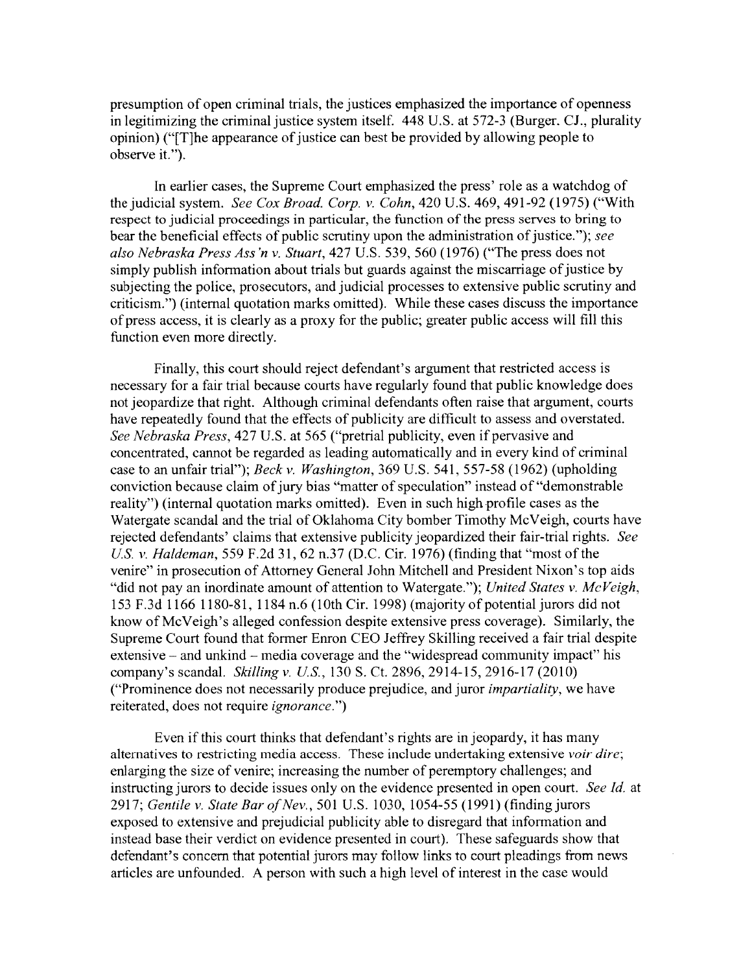presumption of open criminal trials, the justices emphasized the importance of openness in legitimizing the criminal justice system itself, 448 U.S. at 572-3 (Burger. CJ.. plurality opinion) ("[T]he appearance of justice can best be provided by allowing people to observe it.").

In earlier cases. the Supreme Court emphasized the press' role as a watchdog of the judicial system. See Cox Broad. Corp. v. Cohn, 420 U.S. 469, 491-92 (1975) ("With respect to judicial proceedings in particular. the function of the press serves to bring to bear the beneficial effects of public scrutiny upon the administration of justice."); see also Nehraska Press Ass 'n v. Stuart, 427 U.S. 539, 560 (1976) ("The press does not simply publish information about trials but guards against the miscarriage of justice by subjecting the police, prosecutors, and judicial processes to extensive public scrutiny and criticism.") (internal quotation marks omitted). While these cases discuss the importance of press access, it is clearly as a proxy for the public; greater public access will fill this function even more directly.

Finally, this court should reject defendant's argument that restricted access is necessary for a fair trial because courts have regularly found that public knowledge does not jeopardize that right. Although criminal defendants often raise that argument, courts have repeatedly found that the effects of publicity are difficult to assess and overstated. See Nebraska Press, 427 U.S. at 565 ("pretrial publicity, even if pervasive and concentrated, cannot be regarded as leading automatically and in every kind of criminal case to an unfair trial"); Beck v. Washington, 369 U.S. 541, 557-58 (1962) (upholding conviction because claim of jury bias "matter of speculation" instead of "demonstrable reality") (internal quotation marks omitted). Even in such high profile cases as the Watergate scandal and the trial of Oklahoma City bomber Timothy McVeigh. courts have rejected defendants' claims that extensive publicity jeopardized their fair-trial rights. See U.S. v. Haldeman, 559 F.2d 31, 62 n.37 (D.C. Cir. 1976) (finding that "most of the venire" in prosecution of Attorney General John Mitchell and President Nixon's top aids "did not pay an inordinate amount of attention to Watergate."); United States v. McVeigh, 153 F.3d 1166 1180-81, 1184 n.6 (10th Cir. 1998) (majority of potential jurors did not know of McVeigh's alleged confession despite extensive press coverage). Similarly, the Supreme Court found that former Enron CEO Jeffrey Skilling received a fair trial despite extensive – and unkind – media coverage and the "widespread community impact" his company's scandal. Skilling v. U.S., 130 S. Ct. 2896, 2914-15, 2916-17 (2010) ("Prominence does not necessarily produce prejudice, and juror *impartiality*, we have reiterated, does not require ignorancc.")

Even if this court thinks that defendant's rights are in jeopardy, it has many alternatives to restricting media access. These include undertaking extensive voir dire; enlarging the size of venire; increasing the number of peremptory challenges; and instructing jurors to decide issues only on the evidence presented in open court. See Id. at 2917; Gentile v. State Bar of Nev., 501 U.S. 1030, 1054-55 (1991) (finding jurors exposed to extensive and prejudicial publicity able to disregard that information and instead base their verdict on evidence presented in court). These safeguards show that defendant's concern that potential jurors may follow links to court pleadings from news articles are unfounded. A person with such a high level of interest in the case would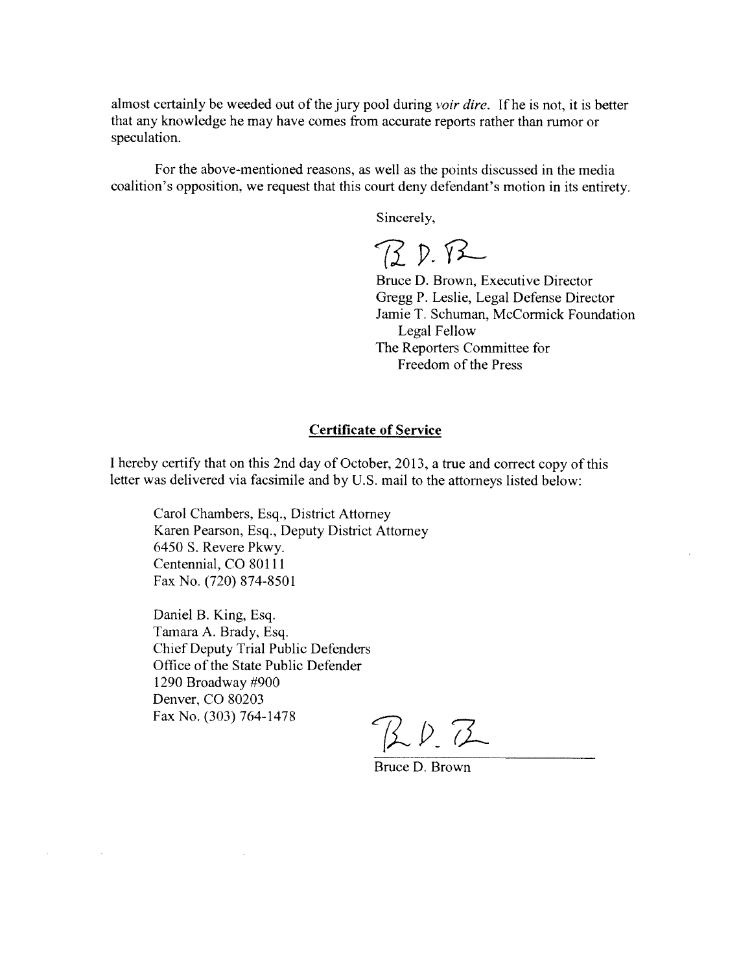almost certainly be weeded out of the jury pool during *voir dire*. If he is not, it is better that any knowledge he may have comes from accurate reports rather than rumor or speculation.

For the above-mentioned reasons, as well as the points discussed in the media coalition's opposition, we request that this court deny defendant's motion in its entirety.

Sincerely,

BD.R

Bruce D. Brown, Executive Director Gregg P. Leslie, Legal Defense Director Jamie T. Schuman, McCormick Foundation Legal Fellow The Reporters Committee for Freedom of the Press

### Certificate of Service

<sup>I</sup> hereby certify that on this 2nd day of October, 2013, a true and correct copy of this letter was delivered via facsimile and by U.S. mail to the attorneys listed below:

Carol Chambers, Esq., District Attorney Karen Pearson, Esq., Deputy District Attorney 6450 S. Revere Pkwy. Centennial, CO 80111 Fax No. (720) 874-8501

Daniel B. King, Esq. Tamara A. Brady, Esq. Chief Deputy Trial Public Defenders Office of the State Public Defender 1290 Broadway #900 Denver, CO 80203 Fax No. (303) 764-1478

 $\mathcal{L}^{\text{max}}_{\text{max}}$  and  $\mathcal{L}^{\text{max}}_{\text{max}}$ 

 $20.7$ 

Bruce D. Brown